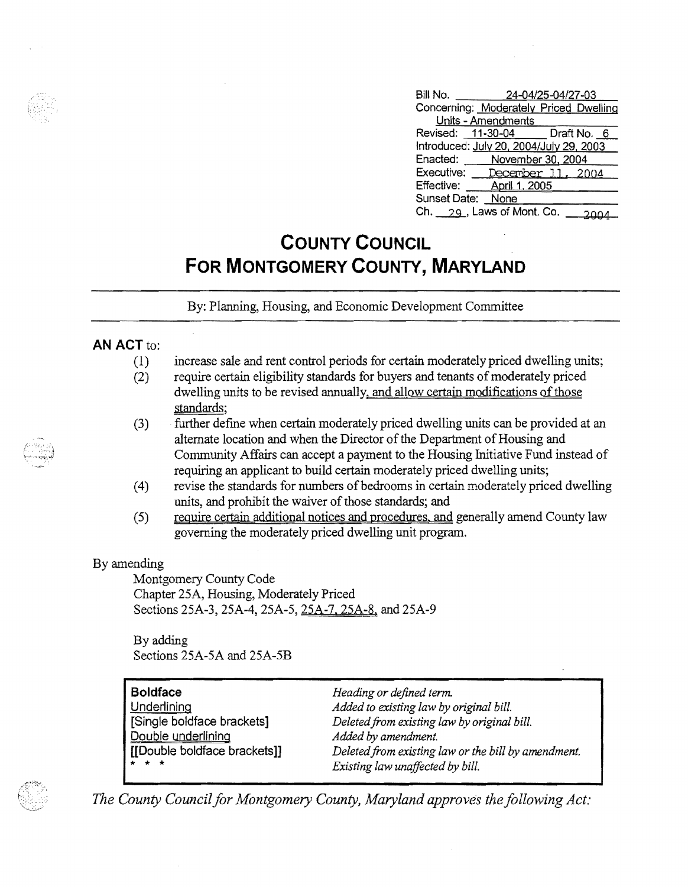| Bill No.          | 24-04/25-04/27-03                       |  |
|-------------------|-----------------------------------------|--|
|                   | Concerning: Moderately Priced Dwelling  |  |
|                   | Units - Amendments                      |  |
|                   | Revised: 11-30-04 Draft No. 6           |  |
|                   | Introduced: July 20, 2004/July 29, 2003 |  |
|                   | Enacted: November 30, 2004              |  |
| Executive:        | December 11, 2004                       |  |
| Effective:        | <b>April 1, 2005</b>                    |  |
| Sunset Date: None |                                         |  |
|                   | Ch. 29, Laws of Mont. Co.               |  |

## **COUNTY COUNCIL FOR MONTGOMERY COUNTY, MARYLAND**

By: Planning, Housing, and Economic Development Committee

## **AN ACT to:**

- (1) increase sale and rent control periods for certain moderately priced dwelling units; (2) require certain eligibility standards for buyers and tenants of moderately priced dwelling units to be revised annually, and allow certain modifications of those standards;
- (3) . further define when certain moderately priced dwelling units can be provided at an alternate location and when the Director of the Department of Housing and Community Affairs can accept a payment to the Housing Initiative Fund instead of requiring an applicant to build certain moderately priced dwelling units;
- (4) revise the standards for numbers ofbedrooms in certain moderately priced dwelling units, and prohibit the waiver of those standards; and
- (5) require certain additional notices and procedures, and generally amend County law governing the moderately priced dwelling unit program.

## By amending

Montgomery County Code Chapter 2SA, Housing, Moderately Priced Sections 25A-3, 25A-4, *2SA-S,* 25A-7, 2SA-8, and 25A-9

By adding Sections 25A-SA and 25A-SB

| Heading or defined term.                            |
|-----------------------------------------------------|
| Added to existing law by original bill.             |
| Deleted from existing law by original bill.         |
| Added by amendment.                                 |
| Deleted from existing law or the bill by amendment. |
| Existing law unaffected by bill.                    |
|                                                     |

The County Council for Montgomery County, Maryland approves the following Act: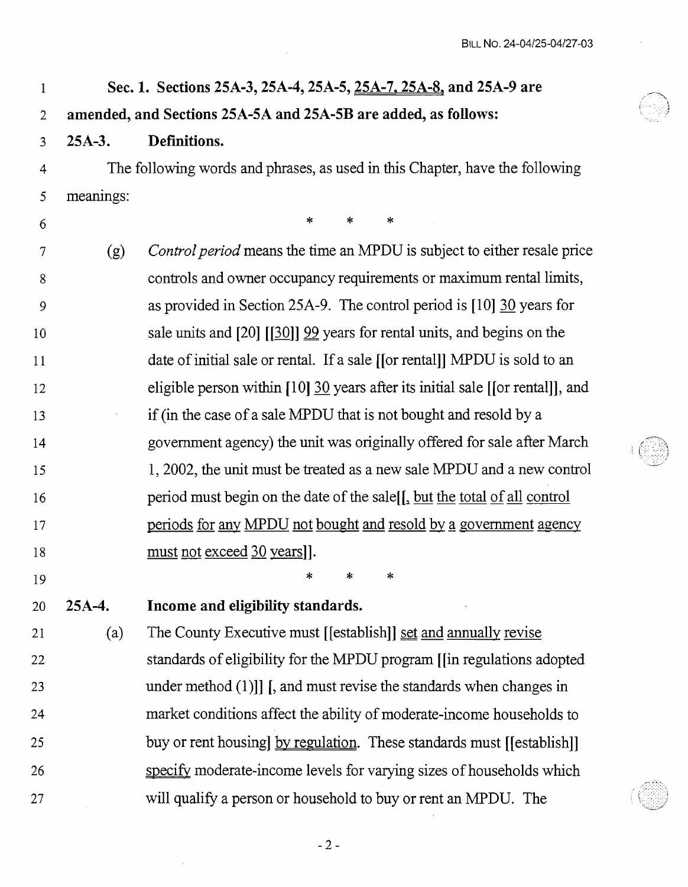$\sim$ 

| $\mathbf 1$    |                                                                | Sec. 1. Sections 25A-3, 25A-4, 25A-5, 25A-7, 25A-8, and 25A-9 are              |  |  |  |  |  |  |
|----------------|----------------------------------------------------------------|--------------------------------------------------------------------------------|--|--|--|--|--|--|
| $\overline{2}$ | amended, and Sections 25A-5A and 25A-5B are added, as follows: |                                                                                |  |  |  |  |  |  |
| 3              | $25A-3.$                                                       | Definitions.                                                                   |  |  |  |  |  |  |
| 4              |                                                                | The following words and phrases, as used in this Chapter, have the following   |  |  |  |  |  |  |
| 5              | meanings:                                                      |                                                                                |  |  |  |  |  |  |
| 6              |                                                                | $\ast$<br>$\ast$<br>$\ast$                                                     |  |  |  |  |  |  |
| 7              | (g)                                                            | Control period means the time an MPDU is subject to either resale price        |  |  |  |  |  |  |
| 8              |                                                                | controls and owner occupancy requirements or maximum rental limits,            |  |  |  |  |  |  |
| 9              |                                                                | as provided in Section 25A-9. The control period is [10] 30 years for          |  |  |  |  |  |  |
| 10             |                                                                | sale units and $[20]$ $[30]$ $[99]$ years for rental units, and begins on the  |  |  |  |  |  |  |
| 11             |                                                                | date of initial sale or rental. If a sale [[or rental]] MPDU is sold to an     |  |  |  |  |  |  |
| 12             |                                                                | eligible person within [10] 30 years after its initial sale [[or rental]], and |  |  |  |  |  |  |
| 13             |                                                                | if (in the case of a sale MPDU that is not bought and resold by a              |  |  |  |  |  |  |
| 14             |                                                                | government agency) the unit was originally offered for sale after March        |  |  |  |  |  |  |
| 15             |                                                                | 1, 2002, the unit must be treated as a new sale MPDU and a new control         |  |  |  |  |  |  |
| 16             |                                                                | period must begin on the date of the sale[[, but the total of all control      |  |  |  |  |  |  |
| 17             |                                                                | periods for any MPDU not bought and resold by a government agency              |  |  |  |  |  |  |
| 18             |                                                                | must not exceed 30 years]].                                                    |  |  |  |  |  |  |
| 19             |                                                                | ж.<br>- 宋 - 宋                                                                  |  |  |  |  |  |  |
| 20             | $25A-4.$                                                       | Income and eligibility standards.                                              |  |  |  |  |  |  |
| 21             | (a)                                                            | The County Executive must [[establish]] set and annually revise                |  |  |  |  |  |  |
| 22             |                                                                | standards of eligibility for the MPDU program [[in regulations adopted         |  |  |  |  |  |  |
| 23             |                                                                | under method $(1)$ ] [, and must revise the standards when changes in          |  |  |  |  |  |  |
| 24             |                                                                | market conditions affect the ability of moderate-income households to          |  |  |  |  |  |  |
| 25             |                                                                | buy or rent housing by regulation. These standards must [[establish]]          |  |  |  |  |  |  |
| 26             |                                                                | specify moderate-income levels for varying sizes of households which           |  |  |  |  |  |  |
| 27             |                                                                | will qualify a person or household to buy or rent an MPDU. The                 |  |  |  |  |  |  |

 $\mathcal{L}^{\text{max}}_{\text{max}}$  and  $\mathcal{L}^{\text{max}}_{\text{max}}$ 

 $-2-$ 

 $\sim 10^{-1}$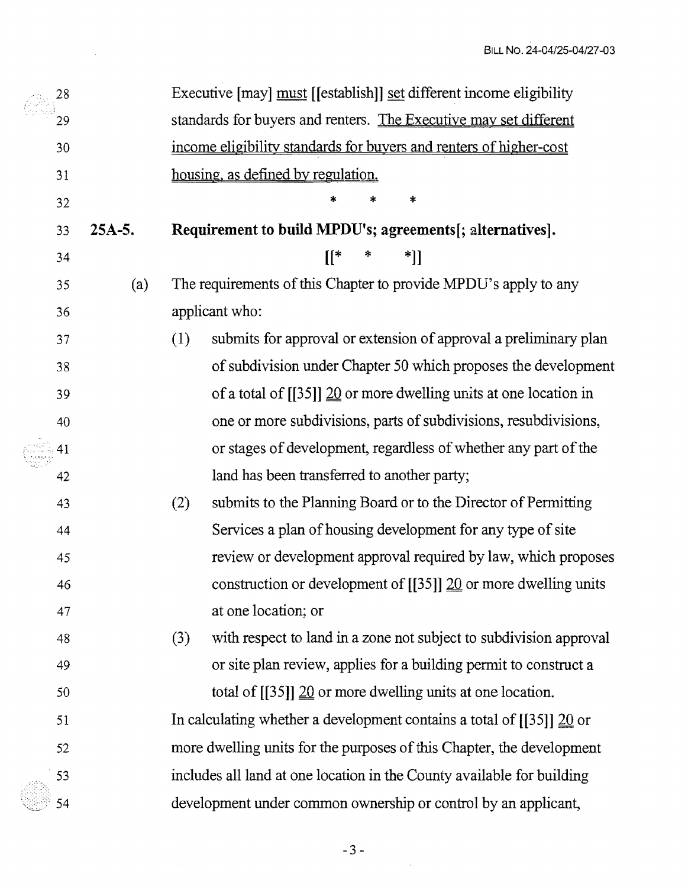|    | 28 |          |                                                                                   | Executive [may] must [[establish]] set different income eligibility                 |
|----|----|----------|-----------------------------------------------------------------------------------|-------------------------------------------------------------------------------------|
|    | 29 |          |                                                                                   | standards for buyers and renters. The Executive may set different                   |
|    | 30 |          |                                                                                   | income eligibility standards for buyers and renters of higher-cost                  |
|    | 31 |          |                                                                                   | housing, as defined by regulation.                                                  |
|    | 32 |          |                                                                                   | $\ast$<br>*<br>∗                                                                    |
|    | 33 | $25A-5.$ |                                                                                   | Requirement to build MPDU's; agreements[; alternatives].                            |
|    | 34 |          |                                                                                   | $\mathcal{L}^*$<br>$*$ ]]                                                           |
|    | 35 | (a)      |                                                                                   | The requirements of this Chapter to provide MPDU's apply to any                     |
|    | 36 |          |                                                                                   | applicant who:                                                                      |
|    | 37 |          | (1)                                                                               | submits for approval or extension of approval a preliminary plan                    |
|    | 38 |          |                                                                                   | of subdivision under Chapter 50 which proposes the development                      |
| 39 |    |          | of a total of $[[35]]$ $\underline{20}$ or more dwelling units at one location in |                                                                                     |
|    | 40 |          |                                                                                   | one or more subdivisions, parts of subdivisions, resubdivisions,                    |
|    | 41 |          |                                                                                   | or stages of development, regardless of whether any part of the                     |
|    | 42 |          |                                                                                   | land has been transferred to another party;                                         |
|    | 43 |          | (2)                                                                               | submits to the Planning Board or to the Director of Permitting                      |
|    | 44 |          |                                                                                   | Services a plan of housing development for any type of site                         |
|    | 45 |          |                                                                                   | review or development approval required by law, which proposes                      |
|    | 46 |          |                                                                                   | construction or development of $[[35]]$ 20 or more dwelling units                   |
|    | 47 |          |                                                                                   | at one location; or                                                                 |
|    | 48 |          | (3)                                                                               | with respect to land in a zone not subject to subdivision approval                  |
|    | 49 |          |                                                                                   | or site plan review, applies for a building permit to construct a                   |
|    | 50 |          |                                                                                   | total of $[[35]]$ $\underline{20}$ or more dwelling units at one location.          |
|    | 51 |          |                                                                                   | In calculating whether a development contains a total of $[[35]] \underline{20}$ or |
|    | 52 |          |                                                                                   | more dwelling units for the purposes of this Chapter, the development               |
|    | 53 |          |                                                                                   | includes all land at one location in the County available for building              |
|    | 54 |          |                                                                                   | development under common ownership or control by an applicant,                      |

 $\sim$ 

 $\mathcal{A}^{\mathcal{A}}$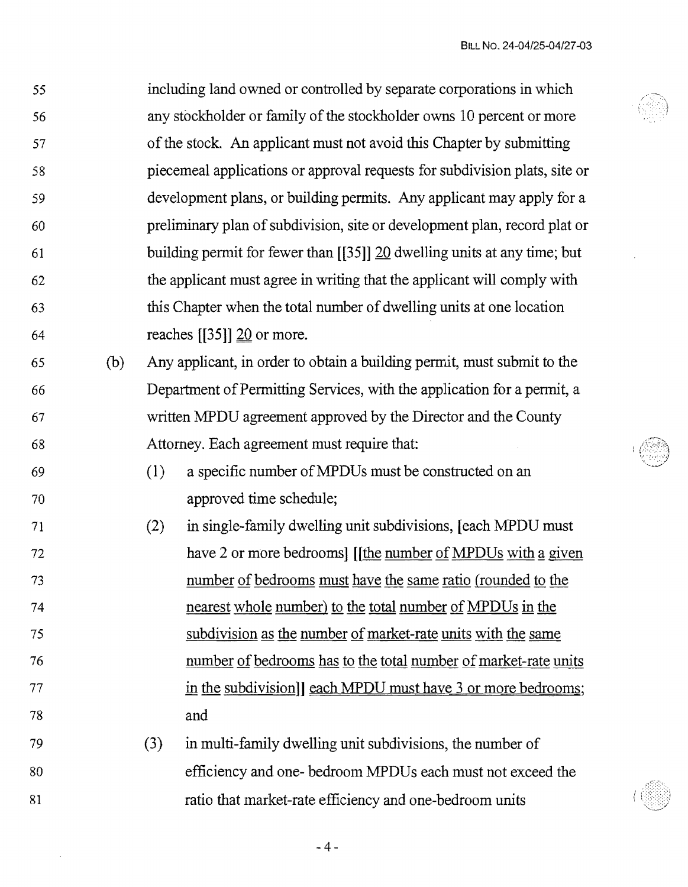$\sim 300$ 

| 55 |     |     | including land owned or controlled by separate corporations in which                   |  |  |  |  |
|----|-----|-----|----------------------------------------------------------------------------------------|--|--|--|--|
| 56 |     |     | any stockholder or family of the stockholder owns 10 percent or more                   |  |  |  |  |
| 57 |     |     | of the stock. An applicant must not avoid this Chapter by submitting                   |  |  |  |  |
| 58 |     |     | piecemeal applications or approval requests for subdivision plats, site or             |  |  |  |  |
| 59 |     |     | development plans, or building permits. Any applicant may apply for a                  |  |  |  |  |
| 60 |     |     | preliminary plan of subdivision, site or development plan, record plat or              |  |  |  |  |
| 61 |     |     | building permit for fewer than $[[35]] \underline{20}$ dwelling units at any time; but |  |  |  |  |
| 62 |     |     | the applicant must agree in writing that the applicant will comply with                |  |  |  |  |
| 63 |     |     | this Chapter when the total number of dwelling units at one location                   |  |  |  |  |
| 64 |     |     | reaches $[35]$ ] $20$ or more.                                                         |  |  |  |  |
| 65 | (b) |     | Any applicant, in order to obtain a building permit, must submit to the                |  |  |  |  |
| 66 |     |     | Department of Permitting Services, with the application for a permit, a                |  |  |  |  |
| 67 |     |     | written MPDU agreement approved by the Director and the County                         |  |  |  |  |
| 68 |     |     | Attorney. Each agreement must require that:                                            |  |  |  |  |
| 69 |     | (1) | a specific number of MPDUs must be constructed on an                                   |  |  |  |  |
| 70 |     |     | approved time schedule;                                                                |  |  |  |  |
| 71 |     | (2) | in single-family dwelling unit subdivisions, [each MPDU must]                          |  |  |  |  |
| 72 |     |     | have 2 or more bedrooms] [[the number of MPDUs with a given                            |  |  |  |  |
| 73 |     |     | number of bedrooms must have the same ratio (rounded to the                            |  |  |  |  |
| 74 |     |     | nearest whole number) to the total number of MPDUs in the                              |  |  |  |  |
| 75 |     |     | subdivision as the number of market-rate units with the same                           |  |  |  |  |
| 76 |     |     | number of bedrooms has to the total number of market-rate units                        |  |  |  |  |
| 77 |     |     | in the subdivision] each MPDU must have 3 or more bedrooms;                            |  |  |  |  |
| 78 |     |     | and                                                                                    |  |  |  |  |
| 79 |     | (3) | in multi-family dwelling unit subdivisions, the number of                              |  |  |  |  |
| 80 |     |     | efficiency and one- bedroom MPDUs each must not exceed the                             |  |  |  |  |
| 81 |     |     | ratio that market-rate efficiency and one-bedroom units                                |  |  |  |  |

 $-4-$ 

 $\mathcal{A}^{\mathcal{A}}$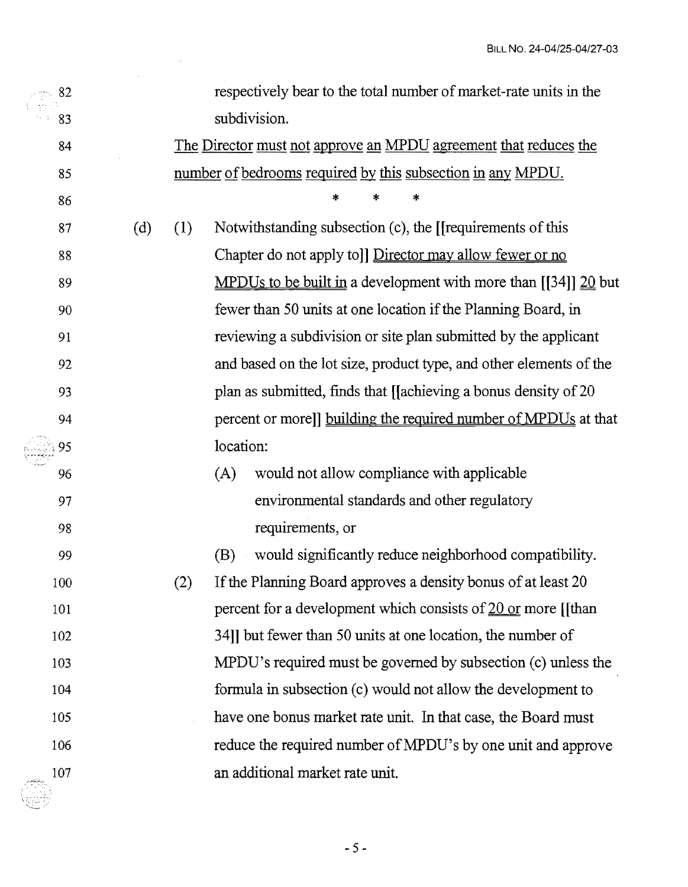| 82  |     |                                                                  | respectively bear to the total number of market-rate units in the         |  |  |  |
|-----|-----|------------------------------------------------------------------|---------------------------------------------------------------------------|--|--|--|
| 83  |     |                                                                  | subdivision.                                                              |  |  |  |
| 84  |     | The Director must not approve an MPDU agreement that reduces the |                                                                           |  |  |  |
| 85  |     |                                                                  | number of bedrooms required by this subsection in any MPDU.               |  |  |  |
| 86  |     |                                                                  | *<br>*                                                                    |  |  |  |
| 87  | (d) | (1)                                                              | Notwithstanding subsection (c), the [[requirements of this                |  |  |  |
| 88  |     |                                                                  | Chapter do not apply to]] Director may allow fewer or no                  |  |  |  |
| 89  |     |                                                                  | <u>MPDUs to be built in</u> a development with more than $[34]$ $20$ but  |  |  |  |
| 90  |     |                                                                  | fewer than 50 units at one location if the Planning Board, in             |  |  |  |
| 91  |     |                                                                  | reviewing a subdivision or site plan submitted by the applicant           |  |  |  |
| 92  |     |                                                                  | and based on the lot size, product type, and other elements of the        |  |  |  |
| 93  |     |                                                                  | plan as submitted, finds that [[achieving a bonus density of 20           |  |  |  |
| 94  |     |                                                                  | percent or more]] building the required number of MPDUs at that           |  |  |  |
| 95  |     |                                                                  | location:                                                                 |  |  |  |
| 96  |     |                                                                  | would not allow compliance with applicable<br>(A)                         |  |  |  |
| 97  |     |                                                                  | environmental standards and other regulatory                              |  |  |  |
| 98  |     |                                                                  | requirements, or                                                          |  |  |  |
| 99  |     |                                                                  | would significantly reduce neighborhood compatibility.<br>(B)             |  |  |  |
| 100 |     | (2)                                                              | If the Planning Board approves a density bonus of at least 20             |  |  |  |
| 101 |     |                                                                  | percent for a development which consists of $20 \text{ or more }}$ [[than |  |  |  |
| 102 |     |                                                                  | 34] but fewer than 50 units at one location, the number of                |  |  |  |
| 103 |     |                                                                  | MPDU's required must be governed by subsection (c) unless the             |  |  |  |
| 104 |     |                                                                  | formula in subsection (c) would not allow the development to              |  |  |  |
| 105 |     |                                                                  | have one bonus market rate unit. In that case, the Board must             |  |  |  |
| 106 |     |                                                                  | reduce the required number of MPDU's by one unit and approve              |  |  |  |
| 107 |     |                                                                  | an additional market rate unit.                                           |  |  |  |
|     |     |                                                                  |                                                                           |  |  |  |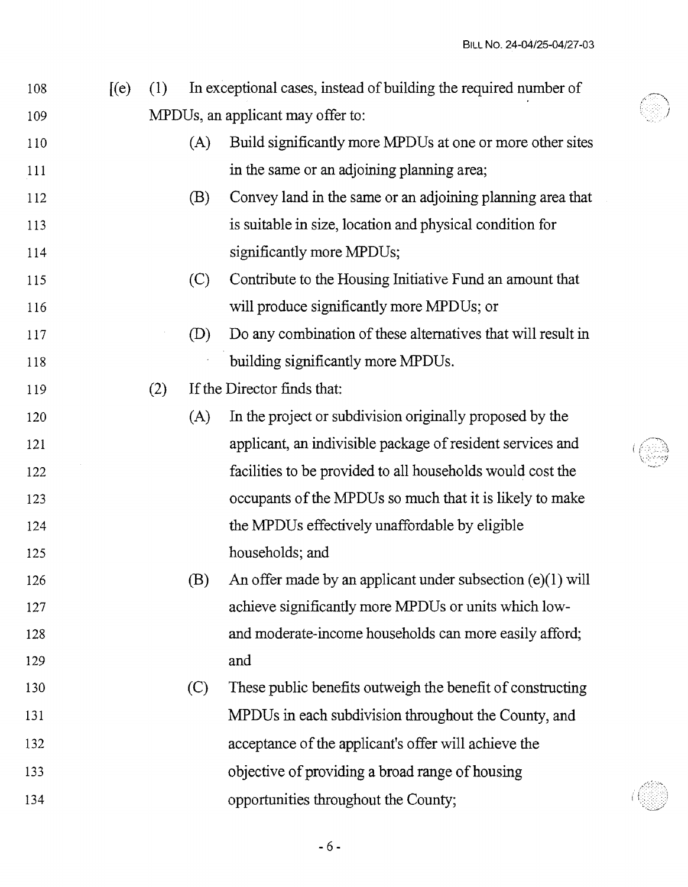| 108 | $[$ (e) $]$ | (1) |                                   | In exceptional cases, instead of building the required number of |  |
|-----|-------------|-----|-----------------------------------|------------------------------------------------------------------|--|
| 109 |             |     | MPDUs, an applicant may offer to: |                                                                  |  |
| 110 |             |     | (A)                               | Build significantly more MPDUs at one or more other sites        |  |
| 111 |             |     |                                   | in the same or an adjoining planning area;                       |  |
| 112 |             |     | (B)                               | Convey land in the same or an adjoining planning area that       |  |
| 113 |             |     |                                   | is suitable in size, location and physical condition for         |  |
| 114 |             |     |                                   | significantly more MPDUs;                                        |  |
| 115 |             |     | (C)                               | Contribute to the Housing Initiative Fund an amount that         |  |
| 116 |             |     |                                   | will produce significantly more MPDUs; or                        |  |
| 117 |             |     | (D)                               | Do any combination of these alternatives that will result in     |  |
| 118 |             |     |                                   | building significantly more MPDUs.                               |  |
| 119 |             | (2) |                                   | If the Director finds that:                                      |  |
| 120 |             |     | (A)                               | In the project or subdivision originally proposed by the         |  |
| 121 |             |     |                                   | applicant, an indivisible package of resident services and       |  |
| 122 |             |     |                                   | facilities to be provided to all households would cost the       |  |
| 123 |             |     |                                   | occupants of the MPDUs so much that it is likely to make         |  |
| 124 |             |     |                                   | the MPDUs effectively unaffordable by eligible                   |  |
| 125 |             |     |                                   | households; and                                                  |  |
| 126 |             |     | (B)                               | An offer made by an applicant under subsection (e)(1) will       |  |
| 127 |             |     |                                   | achieve significantly more MPDUs or units which low-             |  |
| 128 |             |     |                                   | and moderate-income households can more easily afford;           |  |
| 129 |             |     |                                   | and                                                              |  |
| 130 |             |     | (C)                               | These public benefits outweigh the benefit of constructing       |  |
| 131 |             |     |                                   | MPDUs in each subdivision throughout the County, and             |  |
| 132 |             |     |                                   | acceptance of the applicant's offer will achieve the             |  |
| 133 |             |     |                                   | objective of providing a broad range of housing                  |  |
| 134 |             |     |                                   | opportunities throughout the County;                             |  |
|     |             |     |                                   |                                                                  |  |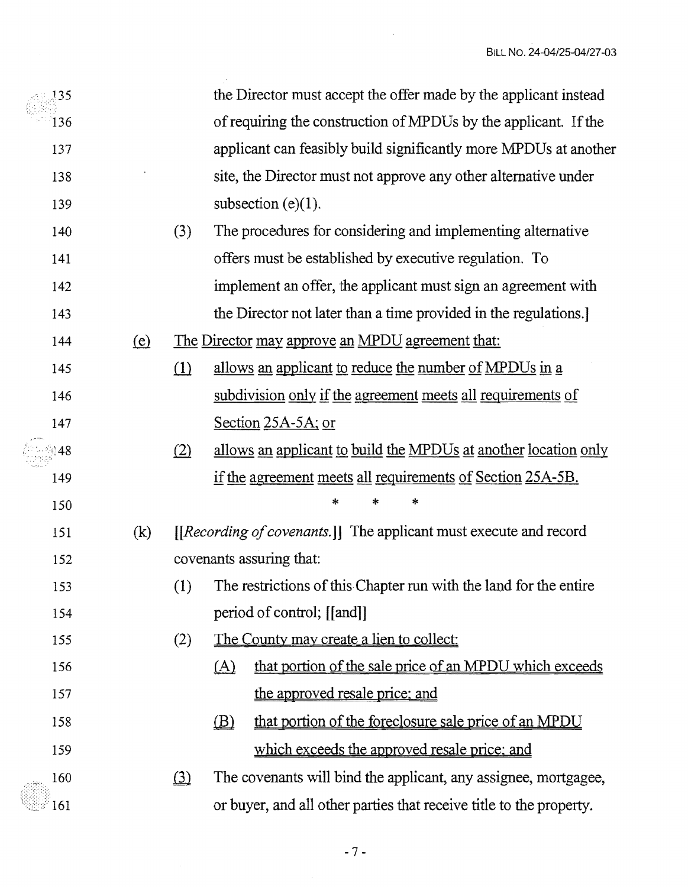| 135   |            |          |          | the Director must accept the offer made by the applicant instead      |
|-------|------------|----------|----------|-----------------------------------------------------------------------|
| 136   |            |          |          | of requiring the construction of MPDUs by the applicant. If the       |
| 137   |            |          |          | applicant can feasibly build significantly more MPDUs at another      |
| 138   |            |          |          | site, the Director must not approve any other alternative under       |
| 139   |            |          |          | subsection $(e)(1)$ .                                                 |
| 140   |            | (3)      |          | The procedures for considering and implementing alternative           |
| 141   |            |          |          | offers must be established by executive regulation. To                |
| 142   |            |          |          | implement an offer, the applicant must sign an agreement with         |
| 143   |            |          |          | the Director not later than a time provided in the regulations.       |
| 144   | <u>(e)</u> |          |          | The Director may approve an MPDU agreement that:                      |
| 145   |            | (1)      |          | allows an applicant to reduce the number of MPDUs in a                |
| 146   |            |          |          | subdivision only if the agreement meets all requirements of           |
| 147   |            |          |          | Section $25A-5A$ ; or                                                 |
| ંચ 48 |            | (2)      |          | allows an applicant to build the MPDUs at another location only       |
| 149   |            |          |          | if the agreement meets all requirements of Section 25A-5B.            |
| 150   |            |          |          | *<br>*<br>*                                                           |
| 151   | (k)        |          |          | [[Recording of covenants.]] The applicant must execute and record     |
| 152   |            |          |          | covenants assuring that:                                              |
| 153   |            |          |          | (1) The restrictions of this Chapter run with the land for the entire |
| 154   |            |          |          | period of control; [[and]]                                            |
| 155   |            | (2)      |          | <u>The County may create a lien to collect:</u>                       |
| 156   |            |          | $\Delta$ | that portion of the sale price of an MPDU which exceeds               |
| 157   |            |          |          | the approved resale price; and                                        |
| 158   |            |          | (B)      | that portion of the foreclosure sale price of an MPDU                 |
| 159   |            |          |          | which exceeds the approved resale price; and                          |
| 160   |            | $\Omega$ |          | The covenants will bind the applicant, any assignee, mortgagee,       |
| 161   |            |          |          | or buyer, and all other parties that receive title to the property.   |

 $\mathcal{L}$ 

 $\ddot{\phantom{a}}$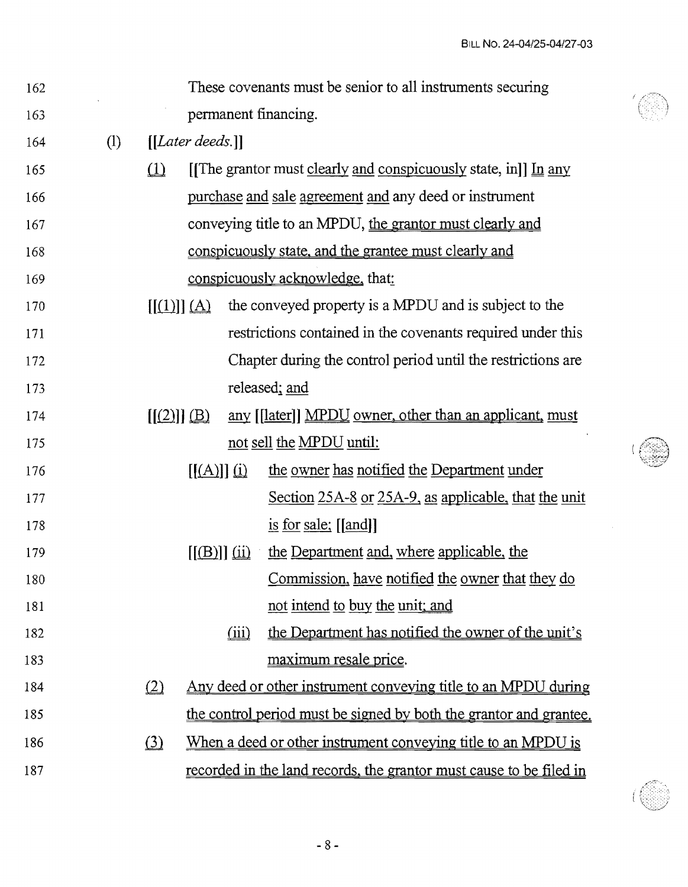| 162 |                   |                   |                          |                                | These covenants must be senior to all instruments securing                    |
|-----|-------------------|-------------------|--------------------------|--------------------------------|-------------------------------------------------------------------------------|
| 163 |                   |                   |                          |                                | permanent financing.                                                          |
| 164 | $\left( 1\right)$ |                   | $[[Later \,deds.]]$      |                                |                                                                               |
| 165 |                   | $\Omega$          |                          |                                | [[The grantor must clearly and conspicuously state, in]] $\underline{In}$ any |
| 166 |                   |                   |                          |                                | purchase and sale agreement and any deed or instrument                        |
| 167 |                   |                   |                          |                                | conveying title to an MPDU, the grantor must clearly and                      |
| 168 |                   |                   |                          |                                | conspicuously state, and the grantee must clearly and                         |
| 169 |                   |                   |                          |                                | conspicuously acknowledge, that:                                              |
| 170 |                   | $[[(1)]](\Delta)$ |                          |                                | the conveyed property is a MPDU and is subject to the                         |
| 171 |                   |                   |                          |                                | restrictions contained in the covenants required under this                   |
| 172 |                   |                   |                          |                                | Chapter during the control period until the restrictions are                  |
| 173 |                   |                   |                          |                                | released; and                                                                 |
| 174 |                   | $[(2)] \oplus$    |                          |                                | any [[later]] MPDU owner, other than an applicant, must                       |
| 175 |                   |                   |                          |                                | not sell the MPDU until:                                                      |
| 176 |                   |                   | $[[(A)]](\underline{i})$ |                                | the owner has notified the Department under                                   |
| 177 |                   |                   |                          |                                | Section 25A-8 or 25A-9, as applicable, that the unit                          |
| 178 |                   |                   |                          |                                | is for sale: $\lfloor \lceil \text{and} \rceil \rfloor$                       |
| 179 |                   |                   |                          | $\left[\frac{(B)}{(1)}\right]$ | the Department and, where applicable, the                                     |
| 180 |                   |                   |                          |                                | <u>Commission, have notified the owner that they do</u>                       |
| 181 |                   |                   |                          |                                | not intend to buy the unit; and                                               |
| 182 |                   |                   |                          | (iii)                          | the Department has notified the owner of the unit's                           |
| 183 |                   |                   |                          |                                | maximum resale price.                                                         |
| 184 |                   | (2)               |                          |                                | Any deed or other instrument conveying title to an MPDU during                |
| 185 |                   |                   |                          |                                | the control period must be signed by both the grantor and grantee.            |
| 186 |                   | (3)               |                          |                                | When a deed or other instrument conveying title to an MPDU is                 |
| 187 |                   |                   |                          |                                | recorded in the land records, the grantor must cause to be filed in           |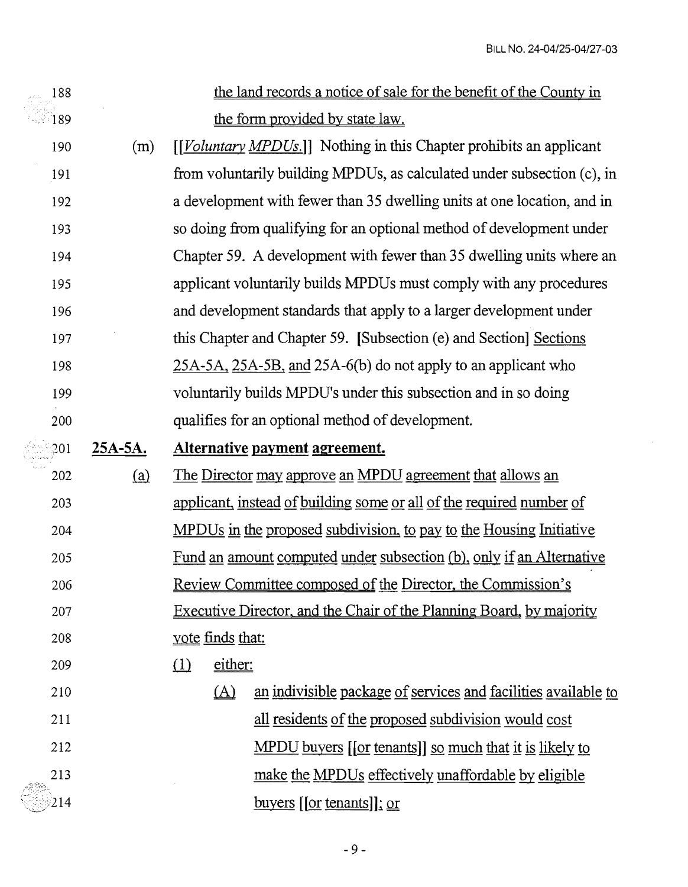$\sim$   $\mu$ 

| 188         |           | the land records a notice of sale for the benefit of the County in          |
|-------------|-----------|-----------------------------------------------------------------------------|
| 189         |           | the form provided by state law.                                             |
| 190         | (m)       | [[Voluntary MPDUs.]] Nothing in this Chapter prohibits an applicant         |
| 191         |           | from voluntarily building MPDUs, as calculated under subsection (c), in     |
| 192         |           | a development with fewer than 35 dwelling units at one location, and in     |
| 193         |           | so doing from qualifying for an optional method of development under        |
| 194         |           | Chapter 59. A development with fewer than 35 dwelling units where an        |
| 195         |           | applicant voluntarily builds MPDUs must comply with any procedures          |
| 196         |           | and development standards that apply to a larger development under          |
| 197         |           | this Chapter and Chapter 59. [Subsection (e) and Section] Sections          |
| 198         |           | 25A-5A, 25A-5B, and 25A-6(b) do not apply to an applicant who               |
| 199         |           | voluntarily builds MPDU's under this subsection and in so doing             |
| 200         |           | qualifies for an optional method of development.                            |
| $\Omega$ 01 | $25A-5A.$ | Alternative payment agreement.                                              |
|             |           |                                                                             |
| 202         | (a)       | The Director may approve an MPDU agreement that allows an                   |
| 203         |           | applicant, instead of building some or all of the required number of        |
| 204         |           | MPDUs in the proposed subdivision, to pay to the Housing Initiative         |
| 205         |           | <u>Fund an amount computed under subsection (b), only if an Alternative</u> |
| 206         |           | <u>Review Committee composed of the Director, the Commission's</u>          |
| 207         |           | Executive Director, and the Chair of the Planning Board, by majority        |
| 208         |           | <u>vote</u> finds that:                                                     |
| 209         |           | either:<br>$\Omega$                                                         |
| 210         |           | an indivisible package of services and facilities available to<br>$\Delta$  |
| 211         |           | all residents of the proposed subdivision would cost                        |
| 212         |           | <u>MPDU buyers [[or tenants]] so much that it is likely to</u>              |
| 213         |           | make the MPDUs effectively unaffordable by eligible                         |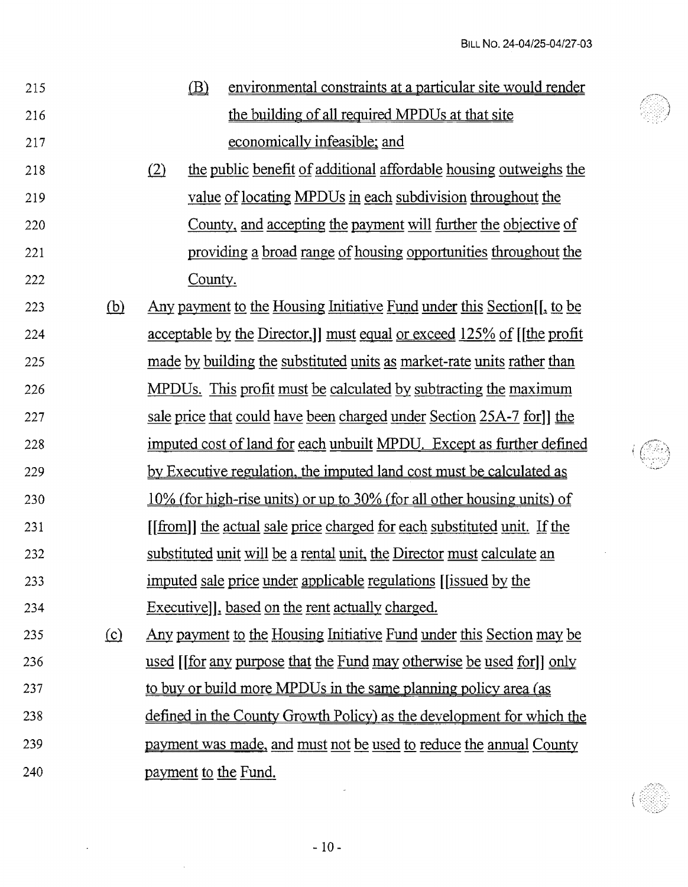| 215 |            | (B)                  | environmental constraints at a particular site would render                   |
|-----|------------|----------------------|-------------------------------------------------------------------------------|
| 216 |            |                      | the building of all required MPDUs at that site                               |
| 217 |            |                      | economically infeasible; and                                                  |
| 218 |            | (2)                  | the public benefit of additional affordable housing outweighs the             |
| 219 |            |                      | value of locating MPDUs in each subdivision throughout the                    |
| 220 |            |                      | County, and accepting the payment will further the objective of               |
| 221 |            |                      | providing a broad range of housing opportunities throughout the               |
| 222 |            | County.              |                                                                               |
| 223 | <u>(b)</u> |                      | Any payment to the Housing Initiative Fund under this Section [, to be        |
| 224 |            |                      | <u>acceptable by the Director, I must equal or exceed 125% of [the profit</u> |
| 225 |            |                      | made by building the substituted units as market-rate units rather than       |
| 226 |            |                      | <u>MPDUs. This profit must be calculated by subtracting the maximum</u>       |
| 227 |            |                      | sale price that could have been charged under Section 25A-7 for l the         |
| 228 |            |                      | imputed cost of land for each unbuilt MPDU. Except as further defined         |
| 229 |            |                      | by Executive regulation, the imputed land cost must be calculated as          |
| 230 |            |                      | 10% (for high-rise units) or up to 30% (for all other housing units) of       |
| 231 |            |                      | [[from]] the actual sale price charged for each substituted unit. If the      |
| 232 |            |                      | substituted unit will be a rental unit, the Director must calculate an        |
| 233 |            |                      | imputed sale price under applicable regulations ((issued by the               |
| 234 |            |                      | Executivell, based on the rent actually charged.                              |
| 235 | $\Omega$   |                      | <u>Any payment to the Housing Initiative Fund under this Section may be</u>   |
| 236 |            |                      | used [[for any purpose that the Fund may otherwise be used for]] only         |
| 237 |            |                      | to buy or build more MPDUs in the same planning policy area (as               |
| 238 |            |                      | defined in the County Growth Policy) as the development for which the         |
| 239 |            |                      | <u>payment was made, and must not be used to reduce the annual County</u>     |
| 240 |            | payment to the Fund. |                                                                               |
|     |            |                      |                                                                               |



 $\mathcal{L}^{\text{max}}$ 

 $\sim 10^{-1}$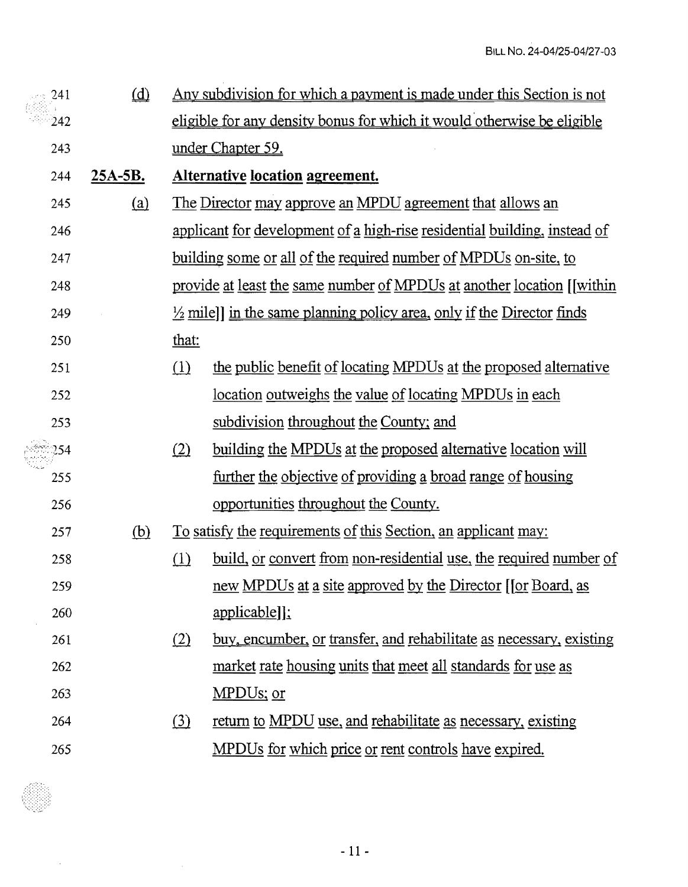| 241 | $\omega$   | <u>Any subdivision for which a payment is made under this Section is not</u> |                                                                                  |  |
|-----|------------|------------------------------------------------------------------------------|----------------------------------------------------------------------------------|--|
| 242 |            | eligible for any density bonus for which it would otherwise be eligible      |                                                                                  |  |
| 243 |            | under Chapter 59.                                                            |                                                                                  |  |
| 244 | $25A-5B$ . |                                                                              | <b>Alternative location agreement.</b>                                           |  |
| 245 | (a)        | <u>The Director may approve an MPDU agreement that allows an</u>             |                                                                                  |  |
| 246 |            |                                                                              | applicant for development of a high-rise residential building, instead of        |  |
| 247 |            |                                                                              | <u>building some or all of the required number of MPDUs on-site, to</u>          |  |
| 248 |            |                                                                              | provide at least the same number of MPDUs at another location [[within]          |  |
| 249 |            |                                                                              | $\frac{1}{2}$ mile] in the same planning policy area, only if the Director finds |  |
| 250 |            | that:                                                                        |                                                                                  |  |
| 251 |            | (1)                                                                          | the public benefit of locating MPDUs at the proposed alternative                 |  |
| 252 |            |                                                                              | <u>location outweighs the value of locating MPDUs in each</u>                    |  |
| 253 |            |                                                                              | subdivision throughout the County; and                                           |  |
| 254 |            | (2)                                                                          | <u>building the MPDUs at the proposed alternative location will</u>              |  |
| 255 |            |                                                                              | <u>further the objective of providing a broad range of housing</u>               |  |
| 256 |            |                                                                              | opportunities throughout the County.                                             |  |
| 257 | <u>(b)</u> |                                                                              | <u>To satisfy the requirements of this Section, an applicant may:</u>            |  |
| 258 |            | (1)                                                                          | <u>build, or convert from non-residential use, the required number of</u>        |  |
| 259 |            |                                                                              | new MPDUs at a site approved by the Director [[or Board, as                      |  |
| 260 |            |                                                                              | applicable]];                                                                    |  |
| 261 |            | (2)                                                                          | buy, encumber, or transfer, and rehabilitate as necessary, existing              |  |
| 262 |            |                                                                              | market rate housing units that meet all standards for use as                     |  |
| 263 |            |                                                                              | MPDUs; or                                                                        |  |
| 264 |            | (3)                                                                          | return to MPDU use, and rehabilitate as necessary, existing                      |  |
| 265 |            |                                                                              | MPDUs for which price or rent controls have expired.                             |  |

 $\frac{1}{2} \sum_{i=1}^n \frac{1}{2} \sum_{j=1}^n \frac{1}{2} \sum_{j=1}^n \frac{1}{2} \sum_{j=1}^n \frac{1}{2} \sum_{j=1}^n \frac{1}{2} \sum_{j=1}^n \frac{1}{2} \sum_{j=1}^n \frac{1}{2} \sum_{j=1}^n \frac{1}{2} \sum_{j=1}^n \frac{1}{2} \sum_{j=1}^n \frac{1}{2} \sum_{j=1}^n \frac{1}{2} \sum_{j=1}^n \frac{1}{2} \sum_{j=1}^n \frac{1}{2} \sum_{j=$ 

 $\sim$   $\sim$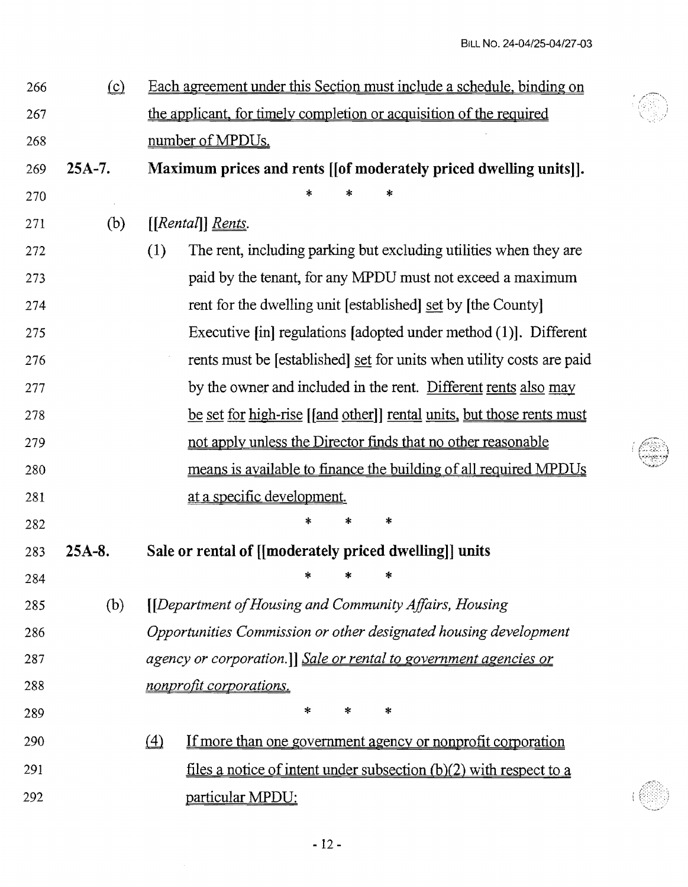| 266 | $\Omega$ | Each agreement under this Section must include a schedule, binding on                                         |
|-----|----------|---------------------------------------------------------------------------------------------------------------|
| 267 |          | the applicant, for timely completion or acquisition of the required                                           |
| 268 |          | number of MPDUs.                                                                                              |
| 269 | $25A-7.$ | Maximum prices and rents [[of moderately priced dwelling units]].                                             |
| 270 |          | $\ast$<br>*                                                                                                   |
| 271 | (b)      | $[[Rental]]$ Rents.                                                                                           |
| 272 |          | The rent, including parking but excluding utilities when they are<br>(1)                                      |
| 273 |          | paid by the tenant, for any MPDU must not exceed a maximum                                                    |
| 274 |          | rent for the dwelling unit [established] set by [the County]                                                  |
| 275 |          | Executive $\lceil \text{in} \rceil$ regulations $\lceil \text{adopted} \rceil$ under method $(1)$ . Different |
| 276 |          | rents must be [established] set for units when utility costs are paid                                         |
| 277 |          | by the owner and included in the rent. Different rents also may                                               |
| 278 |          | <u>be set for high-rise</u> [[and other]] rental units, but those rents must                                  |
| 279 |          | not apply unless the Director finds that no other reasonable                                                  |
| 280 |          | means is available to finance the building of all required MPDUs                                              |
| 281 |          | at a specific development.                                                                                    |
| 282 |          | $\ast$<br>∗<br>×                                                                                              |
| 283 | $25A-8.$ | Sale or rental of [[moderately priced dwelling]] units                                                        |
| 284 |          | $\star$ $\star$<br>- *                                                                                        |
| 285 | (b)      | [[Department of Housing and Community Affairs, Housing                                                        |
| 286 |          | Opportunities Commission or other designated housing development                                              |
| 287 |          | agency or corporation.]] Sale or rental to government agencies or                                             |
| 288 |          | nonprofit corporations.                                                                                       |
| 289 |          | ∗<br>$\ast$<br>*                                                                                              |
| 290 |          | $\triangle$<br><u>If more than one government agency or nonprofit corporation</u>                             |
| 291 |          | <u>files a notice of intent under subsection <math>(b)(2)</math> with respect to a</u>                        |
| 292 |          | particular MPDU:                                                                                              |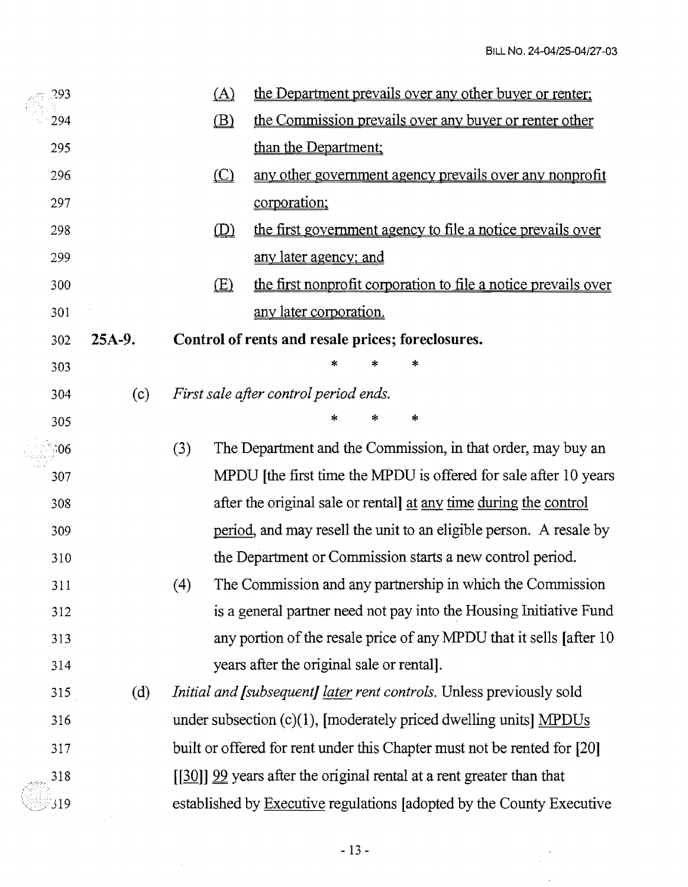$\frac{1}{\sqrt{2\pi}}\sum_{i=1}^{n} \frac{1}{\sqrt{2\pi}}\left(\frac{1}{\sqrt{2\pi}}\right)^2$ 

 $\ddot{\phantom{a}}$ 

| 293 |          |     | $\Delta$                 | the Department prevails over any other buyer or renter;                     |
|-----|----------|-----|--------------------------|-----------------------------------------------------------------------------|
| 294 |          |     | $\mathbf{B}$             | the Commission prevails over any buyer or renter other                      |
| 295 |          |     |                          | than the Department;                                                        |
| 296 |          |     | $\underline{\mathbb{C}}$ | any other government agency prevails over any nonprofit                     |
| 297 |          |     |                          | corporation;                                                                |
| 298 |          |     | $\mathbf{D}$             | the first government agency to file a notice prevails over                  |
| 299 |          |     |                          | <u>any later agency; and</u>                                                |
| 300 |          |     | E(                       | the first nonprofit corporation to file a notice prevails over              |
| 301 |          |     |                          | any later corporation.                                                      |
| 302 | $25A-9.$ |     |                          | Control of rents and resale prices; foreclosures.                           |
| 303 |          |     |                          | $\ast$<br>*                                                                 |
| 304 | (c)      |     |                          | First sale after control period ends.                                       |
| 305 |          |     |                          | *<br>*                                                                      |
| .06 |          | (3) |                          | The Department and the Commission, in that order, may buy an                |
| 307 |          |     |                          | MPDU (the first time the MPDU is offered for sale after 10 years)           |
| 308 |          |     |                          | after the original sale or rentall at any time during the control           |
| 309 |          |     |                          | period, and may resell the unit to an eligible person. A resale by          |
| 310 |          |     |                          | the Department or Commission starts a new control period.                   |
| 311 |          | (4) |                          | The Commission and any partnership in which the Commission                  |
| 312 |          |     |                          | is a general partner need not pay into the Housing Initiative Fund          |
| 313 |          |     |                          | any portion of the resale price of any MPDU that it sells [after 10         |
| 314 |          |     |                          | years after the original sale or rental].                                   |
| 315 | (d)      |     |                          | <i>Initial and [subsequent] later rent controls. Unless previously sold</i> |
| 316 |          |     |                          | under subsection $(c)(1)$ , [moderately priced dwelling units] MPDUs        |
| 317 |          |     |                          | built or offered for rent under this Chapter must not be rented for [20]    |
| 318 |          |     |                          | $[30]$ 99 years after the original rental at a rent greater than that       |
| 319 |          |     |                          | established by Executive regulations [adopted by the County Executive       |

 $\sim 10^6$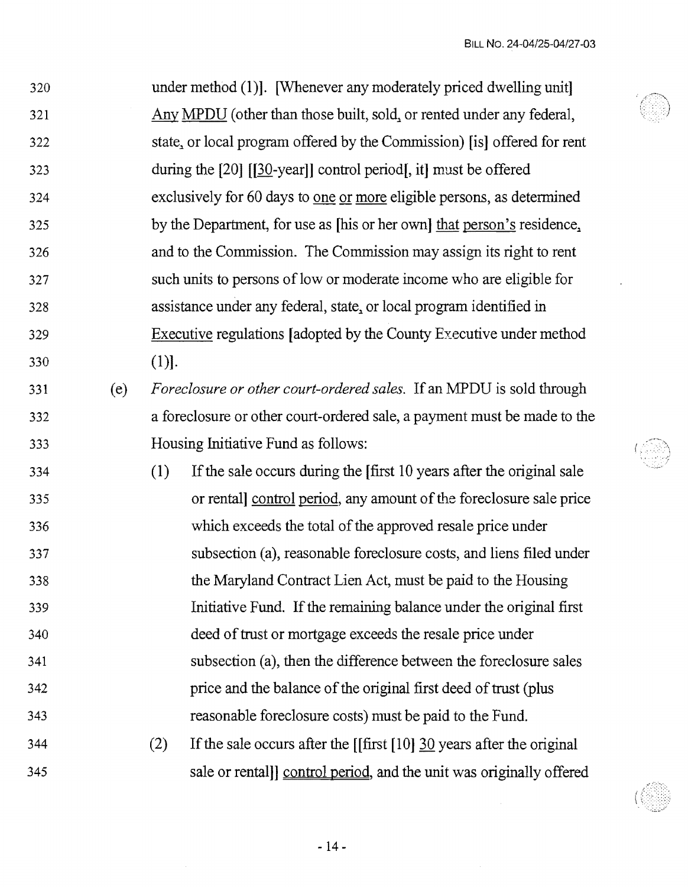$\hat{\epsilon}$ 

| 320 |     |         | under method (1). [Whenever any moderately priced dwelling unit]          |
|-----|-----|---------|---------------------------------------------------------------------------|
| 321 |     |         | Any MPDU (other than those built, sold, or rented under any federal,      |
| 322 |     |         | state, or local program offered by the Commission) [is] offered for rent  |
| 323 |     |         | during the $[20]$ $[30$ -year]] control period, it must be offered        |
| 324 |     |         | exclusively for 60 days to one or more eligible persons, as determined    |
| 325 |     |         | by the Department, for use as [his or her own] that person's residence,   |
| 326 |     |         | and to the Commission. The Commission may assign its right to rent        |
| 327 |     |         | such units to persons of low or moderate income who are eligible for      |
| 328 |     |         | assistance under any federal, state, or local program identified in       |
| 329 |     |         | Executive regulations [adopted by the County Executive under method       |
| 330 |     | $(1)$ . |                                                                           |
| 331 | (e) |         | Foreclosure or other court-ordered sales. If an MPDU is sold through      |
| 332 |     |         | a foreclosure or other court-ordered sale, a payment must be made to the  |
| 333 |     |         | Housing Initiative Fund as follows:                                       |
| 334 |     | (1)     | If the sale occurs during the first 10 years after the original sale      |
| 335 |     |         | or rentall control period, any amount of the foreclosure sale price       |
| 336 |     |         | which exceeds the total of the approved resale price under                |
| 337 |     |         | subsection (a), reasonable foreclosure costs, and liens filed under       |
| 338 |     |         | the Maryland Contract Lien Act, must be paid to the Housing               |
| 339 |     |         | Initiative Fund. If the remaining balance under the original first        |
| 340 |     |         | deed of trust or mortgage exceeds the resale price under                  |
| 341 |     |         | subsection (a), then the difference between the foreclosure sales         |
| 342 |     |         | price and the balance of the original first deed of trust (plus           |
| 343 |     |         | reasonable foreclosure costs) must be paid to the Fund.                   |
| 344 |     | (2)     | If the sale occurs after the [[first $[10]$ ] 30 years after the original |
| 345 |     |         | sale or rentall control period, and the unit was originally offered       |
|     |     |         |                                                                           |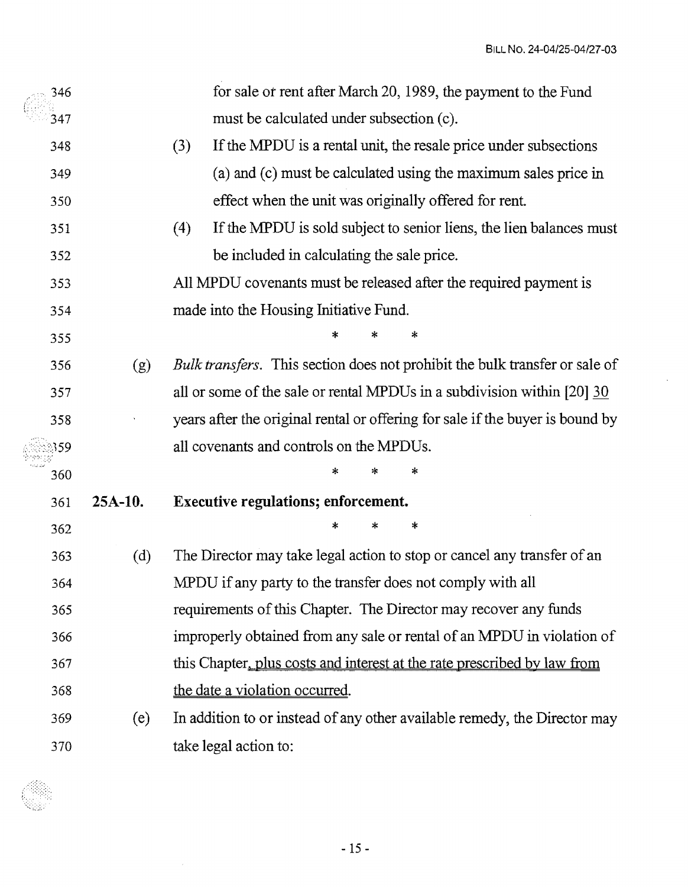$\bar{z}$ 

| 346 |           | for sale or rent after March 20, 1989, the payment to the Fund                |
|-----|-----------|-------------------------------------------------------------------------------|
| 347 |           | must be calculated under subsection (c).                                      |
| 348 |           | If the MPDU is a rental unit, the resale price under subsections<br>(3)       |
| 349 |           | (a) and (c) must be calculated using the maximum sales price in               |
| 350 |           | effect when the unit was originally offered for rent.                         |
| 351 |           | If the MPDU is sold subject to senior liens, the lien balances must<br>(4)    |
| 352 |           | be included in calculating the sale price.                                    |
| 353 |           | All MPDU covenants must be released after the required payment is             |
| 354 |           | made into the Housing Initiative Fund.                                        |
| 355 |           | *                                                                             |
| 356 | (g)       | Bulk transfers. This section does not prohibit the bulk transfer or sale of   |
| 357 |           | all or some of the sale or rental MPDUs in a subdivision within [20] 30       |
| 358 |           | years after the original rental or offering for sale if the buyer is bound by |
| 359 |           | all covenants and controls on the MPDUs.                                      |
| 360 |           | *                                                                             |
| 361 | $25A-10.$ | <b>Executive regulations; enforcement.</b>                                    |
| 362 |           | *                                                                             |
| 363 | (d)       | The Director may take legal action to stop or cancel any transfer of an       |
| 364 |           | MPDU if any party to the transfer does not comply with all                    |
| 365 |           | requirements of this Chapter. The Director may recover any funds              |
| 366 |           | improperly obtained from any sale or rental of an MPDU in violation of        |
| 367 |           | this Chapter, plus costs and interest at the rate prescribed by law from      |
| 368 |           | the date a violation occurred.                                                |
| 369 | (e)       | In addition to or instead of any other available remedy, the Director may     |
| 370 |           | take legal action to:                                                         |



 $-15-$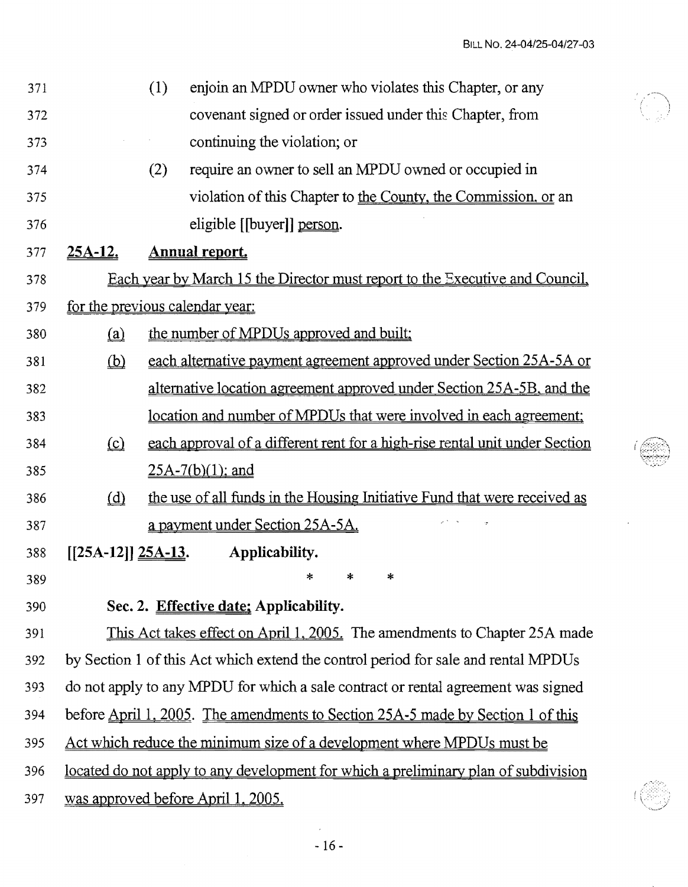| 371 |                                                   | (1) | enjoin an MPDU owner who violates this Chapter, or any                                     |  |  |
|-----|---------------------------------------------------|-----|--------------------------------------------------------------------------------------------|--|--|
| 372 |                                                   |     | covenant signed or order issued under this Chapter, from                                   |  |  |
| 373 |                                                   |     | continuing the violation; or                                                               |  |  |
| 374 |                                                   | (2) | require an owner to sell an MPDU owned or occupied in                                      |  |  |
| 375 |                                                   |     | violation of this Chapter to the County, the Commission, or an                             |  |  |
| 376 |                                                   |     | eligible [[buyer]] person.                                                                 |  |  |
| 377 | <u>25A-12.</u>                                    |     | <b>Annual report.</b>                                                                      |  |  |
| 378 |                                                   |     | <u>Each year by March 15 the Director must report to the Executive and Council,</u>        |  |  |
| 379 | for the previous calendar year:                   |     |                                                                                            |  |  |
| 380 | $\Omega$                                          |     | the number of MPDUs approved and built;                                                    |  |  |
| 381 | $\underline{\underline{\left(\mathbf{b}\right)}}$ |     | each alternative payment agreement approved under Section 25A-5A or                        |  |  |
| 382 |                                                   |     | alternative location agreement approved under Section 25A-5B, and the                      |  |  |
| 383 |                                                   |     | <u>location and number of MPDUs that were involved in each agreement;</u>                  |  |  |
| 384 | $\Omega$                                          |     | each approval of a different rent for a high-rise rental unit under Section                |  |  |
| 385 |                                                   |     | $25A-7(b)(1)$ ; and                                                                        |  |  |
| 386 | $\underline{d}$                                   |     | the use of all funds in the Housing Initiative Fund that were received as                  |  |  |
| 387 |                                                   |     | a payment under Section 25A-5A.                                                            |  |  |
| 388 | $[[25A-12]]$ $25A-13$ .                           |     | Applicability.                                                                             |  |  |
| 389 |                                                   |     | ∗<br>*<br>∗                                                                                |  |  |
| 390 |                                                   |     | Sec. 2. Effective date: Applicability.                                                     |  |  |
| 391 |                                                   |     | This Act takes effect on April 1, 2005. The amendments to Chapter 25A made                 |  |  |
| 392 |                                                   |     | by Section 1 of this Act which extend the control period for sale and rental MPDUs         |  |  |
| 393 |                                                   |     | do not apply to any MPDU for which a sale contract or rental agreement was signed          |  |  |
| 394 |                                                   |     | before <u>April 1, 2005</u> . The amendments to Section 25A-5 made by Section 1 of this    |  |  |
| 395 |                                                   |     | Act which reduce the minimum size of a development where MPDUs must be                     |  |  |
| 396 |                                                   |     | <u>located do not apply to any development for which a preliminary plan of subdivision</u> |  |  |
|     |                                                   |     |                                                                                            |  |  |

397 was approved before April 1, 2005.

 $\hat{\mathcal{A}}$